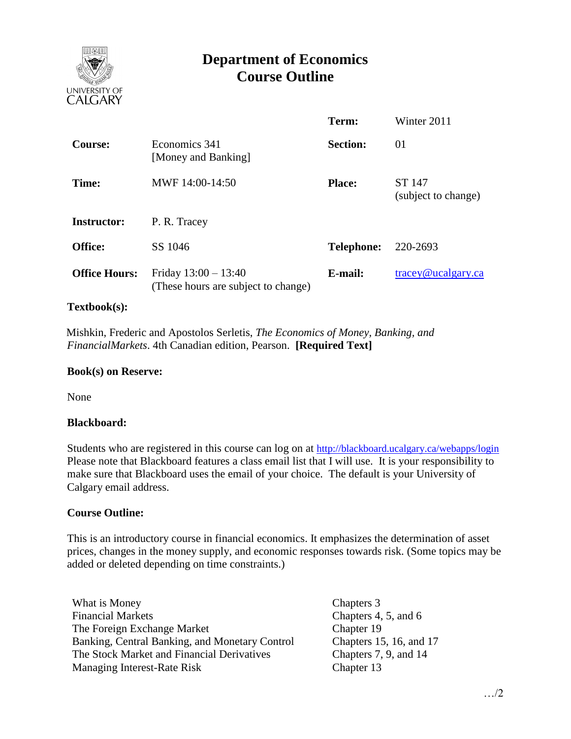

# **Department of Economics Course Outline**

|                      |                                                               | Term:             | Winter 2011                      |
|----------------------|---------------------------------------------------------------|-------------------|----------------------------------|
| <b>Course:</b>       | Economics 341<br>[Money and Banking]                          | <b>Section:</b>   | 01                               |
| Time:                | MWF 14:00-14:50                                               | <b>Place:</b>     | ST 147<br>(subject to change)    |
| <b>Instructor:</b>   | P. R. Tracey                                                  |                   |                                  |
| <b>Office:</b>       | SS 1046                                                       | <b>Telephone:</b> | 220-2693                         |
| <b>Office Hours:</b> | Friday $13:00 - 13:40$<br>(These hours are subject to change) | E-mail:           | $trace\$ <sub>@ucalgary.ca</sub> |

### **Textbook(s):**

 Mishkin, Frederic and Apostolos Serletis, *The Economics of Money, Banking, and FinancialMarkets*. 4th Canadian edition, Pearson. **[Required Text]**

#### **Book(s) on Reserve:**

None

#### **Blackboard:**

Students who are registered in this course can log on at <http://blackboard.ucalgary.ca/webapps/login> Please note that Blackboard features a class email list that I will use. It is your responsibility to make sure that Blackboard uses the email of your choice. The default is your University of Calgary email address.

#### **Course Outline:**

This is an introductory course in financial economics. It emphasizes the determination of asset prices, changes in the money supply, and economic responses towards risk. (Some topics may be added or deleted depending on time constraints.)

What is Money Chapters 3 Financial Markets Chapters 4, 5, and 6 The Foreign Exchange Market Banking, Central Banking, and Monetary Control The Stock Market and Financial Derivatives Managing Interest-Rate Risk

Chapter 19 Chapters 15, 16, and 17 Chapters 7, 9, and 14 Chapter 13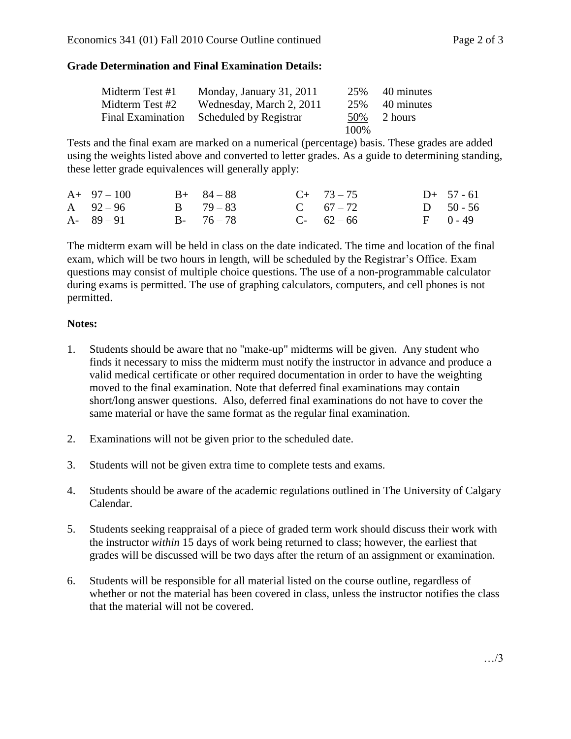## **Grade Determination and Final Examination Details:**

| Midterm Test #1          | Monday, January 31, 2011 | 25%   | 40 minutes |
|--------------------------|--------------------------|-------|------------|
| Midterm Test #2          | Wednesday, March 2, 2011 | 25%   | 40 minutes |
| <b>Final Examination</b> | Scheduled by Registrar   | 50%   | 2 hours    |
|                          |                          | 100\% |            |

Tests and the final exam are marked on a numerical (percentage) basis. These grades are added using the weights listed above and converted to letter grades. As a guide to determining standing, these letter grade equivalences will generally apply:

| $A+97-100$    | $B+ 84-88$    | $C+ 73-75$  | $D+ 57 - 61$ |
|---------------|---------------|-------------|--------------|
| A $92-96$     | $B = 79 - 83$ | C $67 - 72$ | D $50 - 56$  |
| $A - 89 - 91$ | $B - 76 - 78$ | $C-62-66$   | $F = 0 - 49$ |

The midterm exam will be held in class on the date indicated. The time and location of the final exam, which will be two hours in length, will be scheduled by the Registrar's Office. Exam questions may consist of multiple choice questions. The use of a non-programmable calculator during exams is permitted. The use of graphing calculators, computers, and cell phones is not permitted.

## **Notes:**

- 1. Students should be aware that no "make-up" midterms will be given. Any student who finds it necessary to miss the midterm must notify the instructor in advance and produce a valid medical certificate or other required documentation in order to have the weighting moved to the final examination. Note that deferred final examinations may contain short/long answer questions. Also, deferred final examinations do not have to cover the same material or have the same format as the regular final examination.
- 2. Examinations will not be given prior to the scheduled date.
- 3. Students will not be given extra time to complete tests and exams.
- 4. Students should be aware of the academic regulations outlined in The University of Calgary Calendar.
- 5. Students seeking reappraisal of a piece of graded term work should discuss their work with the instructor *within* 15 days of work being returned to class; however, the earliest that grades will be discussed will be two days after the return of an assignment or examination.
- 6. Students will be responsible for all material listed on the course outline, regardless of whether or not the material has been covered in class, unless the instructor notifies the class that the material will not be covered.